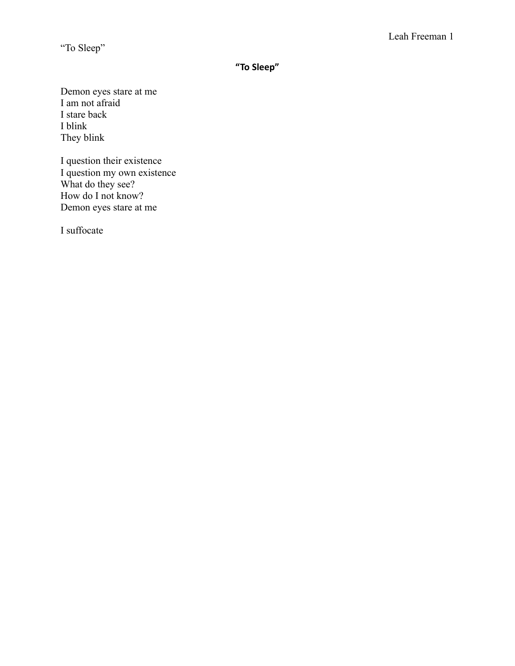**" To Sleep"**

Demon eyes stare at me I am not afraid I stare back I blink They blink

I question their existence I question my own existence What do they see? How do I not know? Demon eyes stare at me

I suffocate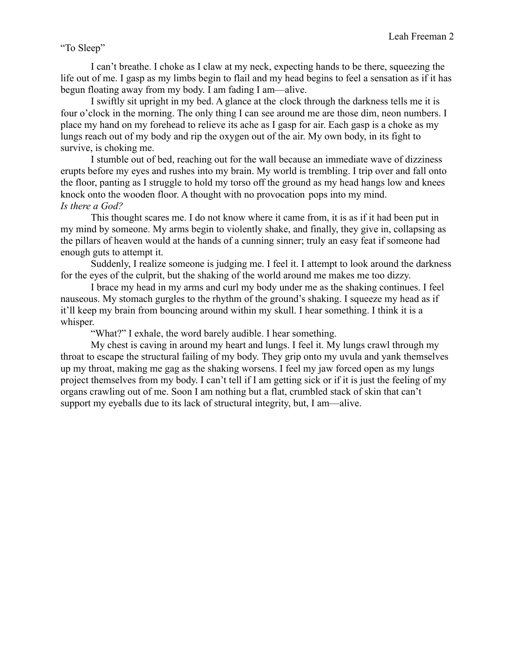I can't breathe. I choke as I claw at my neck, expecting hands to be there, squeezing the life out of me. I gasp as my limbs begin to flail and my head begins to feel a sensation as if it has begun floating away from my body. I am fading I am—alive.

I swiftly sit upright in my bed. A glance at the clock through the darkness tells me it is four o'clock in the morning. The only thing I can see around me are those dim, neon numbers. I place my hand on my forehead to relieve its ache as I gasp for air. Each gasp is a choke as my lungs reach out of my body and rip the oxygen out of the air. My own body, in its fight to survive, is choking me.

I stumble out of bed, reaching out for the wall because an immediate wave of dizziness erupts before my eyes and rushes into my brain. My world is trembling. I trip over and fall onto the floor, panting as I struggle to hold my torso off the ground as my head hangs low and knees knock onto the wooden floor. A thought with no provocation pops into my mind. *Is there a God?*

This thought scares me. I do not know where it came from, it is as if it had been put in my mind by someone. My arms begin to violently shake, and finally, they give in, collapsing as the pillars of heaven would at the hands of a cunning sinner; truly an easy feat if someone had enough guts to attempt it.

Suddenly, I realize someone is judging me. I feel it. I attempt to look around the darkness for the eyes of the culprit, but the shaking of the world around me makes me too dizzy.

I brace my head in my arms and curl my body under me as the shaking continues. I feel nauseous. My stomach gurgles to the rhythm of the ground's shaking. I squeeze my head as if it'll keep my brain from bouncing around within my skull. I hear something. I think it is a whisper.

"What?" I exhale, the word barely audible. I hear something.

My chest is caving in around my heart and lungs. I feel it. My lungs crawl through my throat to escape the structural failing of my body. They grip onto my uvula and yank themselves up my throat, making me gag as the shaking worsens. I feel my jaw forced open as my lungs project themselves from my body. I can't tell if I am getting sick or if it is just the feeling of my organs crawling out of me. Soon I am nothing but a flat, crumbled stack of skin that can't support my eyeballs due to its lack of structural integrity, but, I am—alive.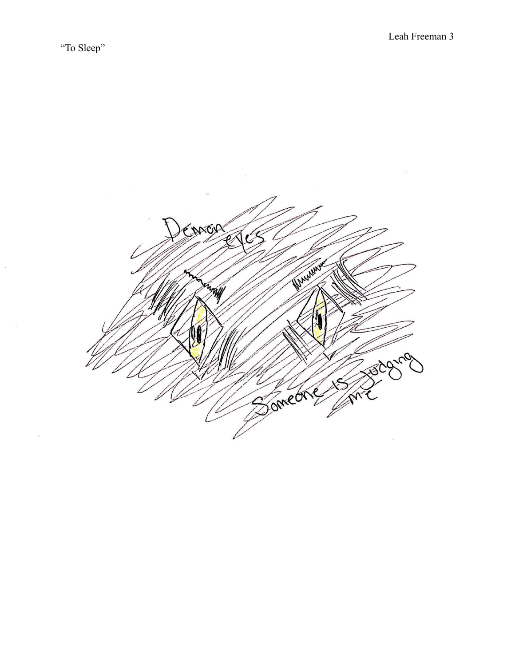$\overline{\phantom{a}}$ 

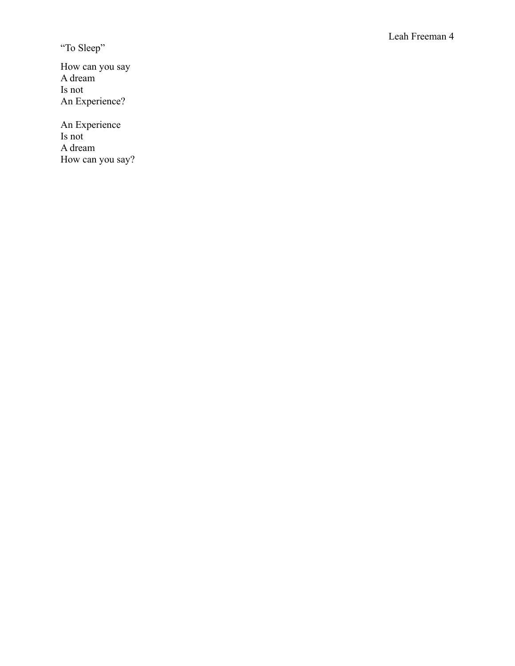How can you say A dream Is not An Experience?

An Experience Is not A dream How can you say?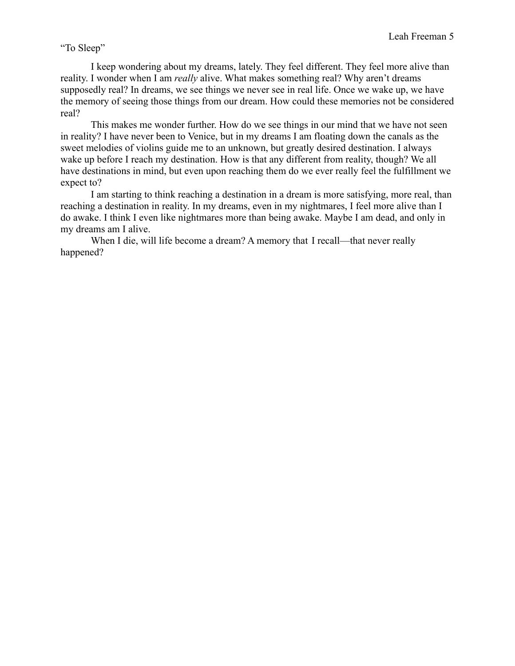I keep wondering about my dreams, lately. They feel different. They feel more alive than reality. I wonder when I am *really* alive. What makes something real? Why aren't dreams supposedly real? In dreams, we see things we never see in real life. Once we wake up, we have the memory of seeing those things from our dream. How could these memories not be considered real?

This makes me wonder further. How do we see things in our mind that we have not seen in reality? I have never been to Venice, but in my dreams I am floating down the canals as the sweet melodies of violins guide me to an unknown, but greatly desired destination. I always wake up before I reach my destination. How is that any different from reality, though? We all have destinations in mind, but even upon reaching them do we ever really feel the fulfillment we expect to?

I am starting to think reaching a destination in a dream is more satisfying, more real, than reaching a destination in reality. In my dreams, even in my nightmares, I feel more alive than I do awake. I think I even like nightmares more than being awake. Maybe I am dead, and only in my dreams am I alive.

When I die, will life become a dream? A memory that I recall—that never really happened?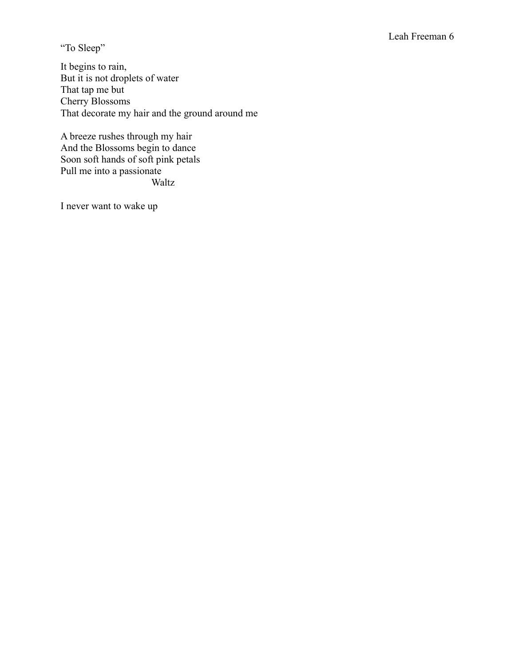## Leah Freeman 6

"To Sleep"

It begins to rain, But it is not droplets of water That tap me but Cherry Blossoms That decorate my hair and the ground around me

A breeze rushes through my hair And the Blossoms begin to dance Soon soft hands of soft pink petals Pull me into a passionate Waltz

I never want to wake up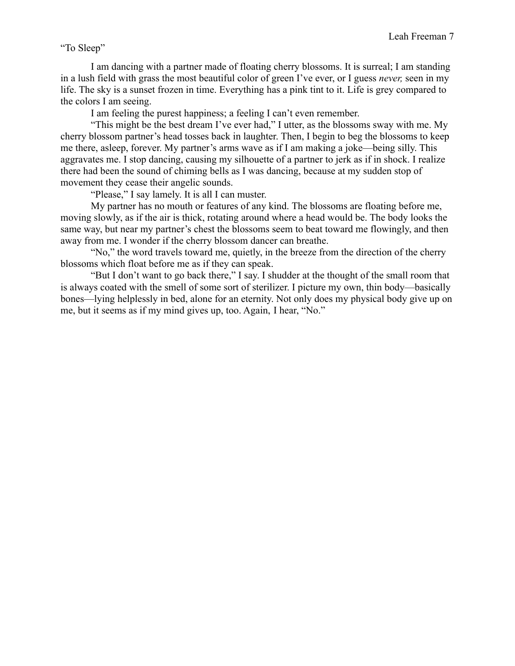I am dancing with a partner made of floating cherry blossoms. It is surreal; I am standing in a lush field with grass the most beautiful color of green I've ever, or I guess *never,* seen in my life. The sky is a sunset frozen in time. Everything has a pink tint to it. Life is grey compared to the colors I am seeing.

I am feeling the purest happiness; a feeling I can't even remember.

"This might be the best dream I've ever had," I utter, as the blossoms sway with me. My cherry blossom partner's head tosses back in laughter. Then, I begin to beg the blossoms to keep me there, asleep, forever. My partner's arms wave as if I am making a joke—being silly. This aggravates me. I stop dancing, causing my silhouette of a partner to jerk as if in shock. I realize there had been the sound of chiming bells as I was dancing, because at my sudden stop of movement they cease their angelic sounds.

"Please," I say lamely. It is all I can muster.

My partner has no mouth or features of any kind. The blossoms are floating before me, moving slowly, as if the air is thick, rotating around where a head would be. The body looks the same way, but near my partner's chest the blossoms seem to beat toward me flowingly, and then away from me. I wonder if the cherry blossom dancer can breathe.

"No," the word travels toward me, quietly, in the breeze from the direction of the cherry blossoms which float before me as if they can speak.

"But I don't want to go back there," I say. I shudder at the thought of the small room that is always coated with the smell of some sort of sterilizer. I picture my own, thin body—basically bones—lying helplessly in bed, alone for an eternity. Not only does my physical body give up on me, but it seems as if my mind gives up, too. Again, I hear, "No."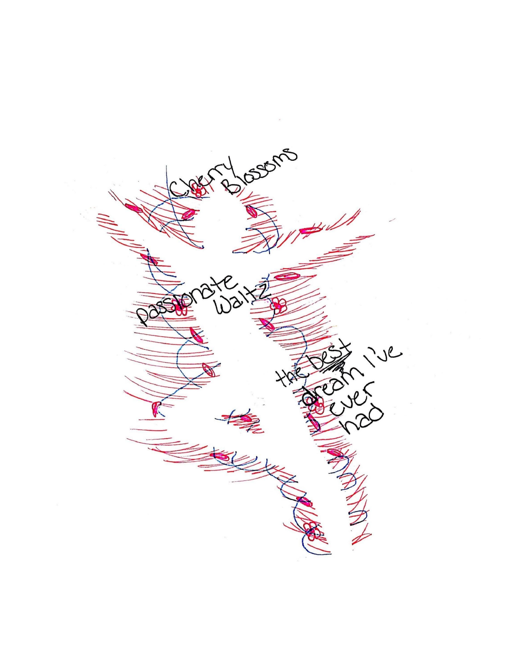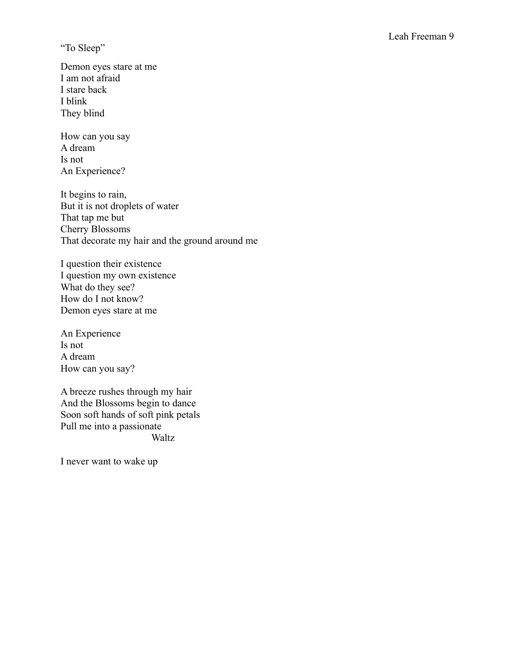Demon eyes stare at me I am not afraid I stare back I blink They blind

How can you say A dream Is not An Experience?

It begins to rain, But it is not droplets of water That tap me but Cherry Blossoms That decorate my hair and the ground around me

I question their existence I question my own existence What do they see? How do I not know? Demon eyes stare at me

An Experience Is not A dream How can you say?

A breeze rushes through my hair And the Blossoms begin to dance Soon soft hands of soft pink petals Pull me into a passionate Waltz

I never want to wake up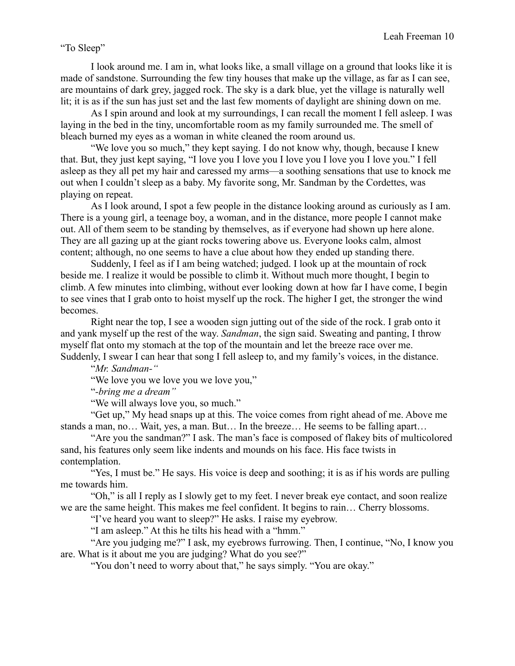I look around me. I am in, what looks like, a small village on a ground that looks like it is made of sandstone. Surrounding the few tiny houses that make up the village, as far as I can see, are mountains of dark grey, jagged rock. The sky is a dark blue, yet the village is naturally well lit; it is as if the sun has just set and the last few moments of daylight are shining down on me.

As I spin around and look at my surroundings, I can recall the moment I fell asleep. I was laying in the bed in the tiny, uncomfortable room as my family surrounded me. The smell of bleach burned my eyes as a woman in white cleaned the room around us.

"We love you so much," they kept saying. I do not know why, though, because I knew that. But, they just kept saying, "I love you I love you I love you I love you I love you." I fell asleep as they all pet my hair and caressed my arms—a soothing sensations that use to knock me out when I couldn't sleep as a baby. My favorite song, Mr. Sandman by the Cordettes, was playing on repeat.

As I look around, I spot a few people in the distance looking around as curiously as I am. There is a young girl, a teenage boy, a woman, and in the distance, more people I cannot make out. All of them seem to be standing by themselves, as if everyone had shown up here alone. They are all gazing up at the giant rocks towering above us. Everyone looks calm, almost content; although, no one seems to have a clue about how they ended up standing there.

Suddenly, I feel as if I am being watched; judged. I look up at the mountain of rock beside me. I realize it would be possible to climb it. Without much more thought, I begin to climb. A few minutes into climbing, without ever looking down at how far I have come, I begin to see vines that I grab onto to hoist myself up the rock. The higher I get, the stronger the wind becomes.

Right near the top, I see a wooden sign jutting out of the side of the rock. I grab onto it and yank myself up the rest of the way. *Sandman*, the sign said. Sweating and panting, I throw myself flat onto my stomach at the top of the mountain and let the breeze race over me. Suddenly, I swear I can hear that song I fell asleep to, and my family's voices, in the distance.

"*Mr. Sandman-"*

"We love you we love you we love you,"

"*-bring me a dream"*

"We will always love you, so much."

"Get up," My head snaps up at this. The voice comes from right ahead of me. Above me stands a man, no… Wait, yes, a man. But… In the breeze… He seems to be falling apart…

"Are you the sandman?" I ask. The man's face is composed of flakey bits of multicolored sand, his features only seem like indents and mounds on his face. His face twists in contemplation.

"Yes, I must be." He says. His voice is deep and soothing; it is as if his words are pulling me towards him.

"Oh," is all I reply as I slowly get to my feet. I never break eye contact, and soon realize we are the same height. This makes me feel confident. It begins to rain… Cherry blossoms.

"I've heard you want to sleep?" He asks. I raise my eyebrow.

"I am asleep." At this he tilts his head with a "hmm."

"Are you judging me?" I ask, my eyebrows furrowing. Then, I continue, "No, I know you are. What is it about me you are judging? What do you see?"

"You don't need to worry about that," he says simply. "You are okay."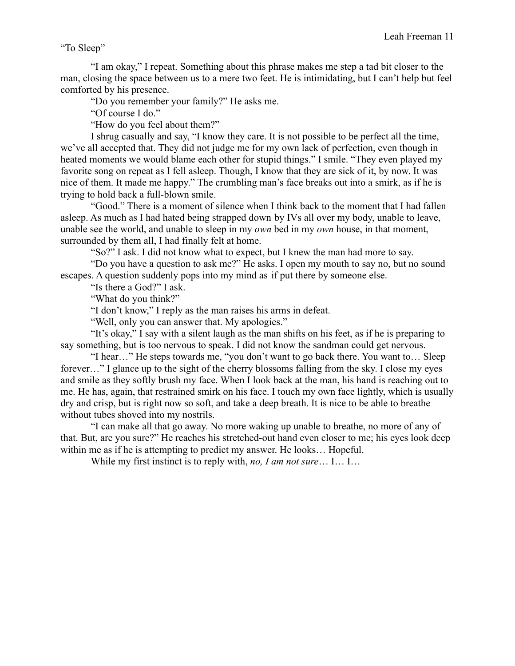"I am okay," I repeat. Something about this phrase makes me step a tad bit closer to the man, closing the space between us to a mere two feet. He is intimidating, but I can't help but feel comforted by his presence.

"Do you remember your family?" He asks me.

"Of course I do."

"How do you feel about them?"

I shrug casually and say, "I know they care. It is not possible to be perfect all the time, we've all accepted that. They did not judge me for my own lack of perfection, even though in heated moments we would blame each other for stupid things." I smile. "They even played my favorite song on repeat as I fell asleep. Though, I know that they are sick of it, by now. It was nice of them. It made me happy." The crumbling man's face breaks out into a smirk, as if he is trying to hold back a full-blown smile.

"Good." There is a moment of silence when I think back to the moment that I had fallen asleep. As much as I had hated being strapped down by IVs all over my body, unable to leave, unable see the world, and unable to sleep in my *own* bed in my *own* house, in that moment, surrounded by them all, I had finally felt at home.

"So?" I ask. I did not know what to expect, but I knew the man had more to say.

"Do you have a question to ask me?" He asks. I open my mouth to say no, but no sound escapes. A question suddenly pops into my mind as if put there by someone else.

"Is there a God?" I ask.

"What do you think?"

"I don't know," I reply as the man raises his arms in defeat.

"Well, only you can answer that. My apologies."

"It's okay," I say with a silent laugh as the man shifts on his feet, as if he is preparing to say something, but is too nervous to speak. I did not know the sandman could get nervous.

"I hear…" He steps towards me, "you don't want to go back there. You want to… Sleep forever…" I glance up to the sight of the cherry blossoms falling from the sky. I close my eyes and smile as they softly brush my face. When I look back at the man, his hand is reaching out to me. He has, again, that restrained smirk on his face. I touch my own face lightly, which is usually dry and crisp, but is right now so soft, and take a deep breath. It is nice to be able to breathe without tubes shoved into my nostrils.

"I can make all that go away. No more waking up unable to breathe, no more of any of that. But, are you sure?" He reaches his stretched-out hand even closer to me; his eyes look deep within me as if he is attempting to predict my answer. He looks… Hopeful.

While my first instinct is to reply with, *no, I am not sure*… I… I…